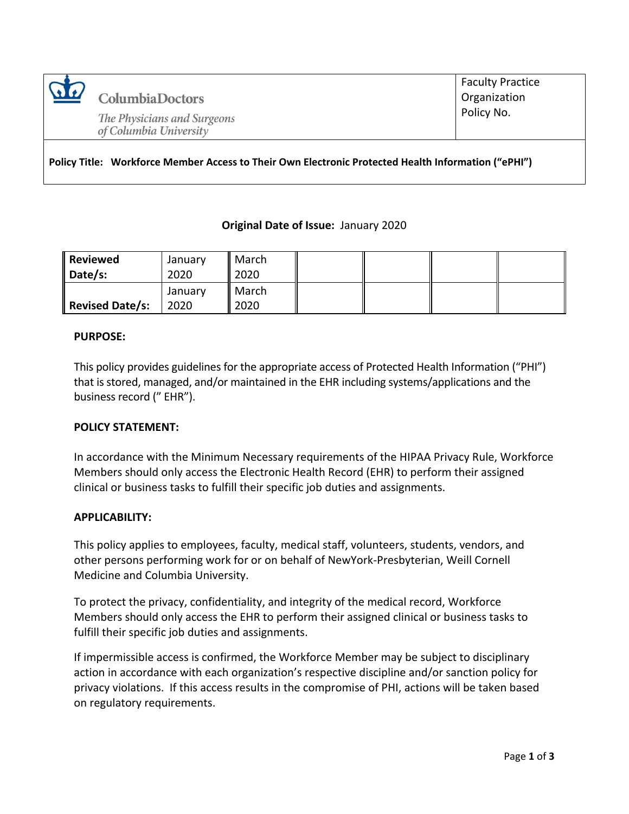

**Columbia Doctors** 

The Physicians and Surgeons of Columbia University

Faculty Practice **Organization** Policy No.

**Policy Title: Workforce Member Access to Their Own Electronic Protected Health Information ("ePHI")**

### **Original Date of Issue:** January 2020

| <b>Reviewed</b><br>Date/s: | January<br>2020 | March<br>2020 |  |  |
|----------------------------|-----------------|---------------|--|--|
| Revised Date/s:            | January<br>2020 | March<br>2020 |  |  |

### **PURPOSE:**

This policy provides guidelines for the appropriate access of Protected Health Information ("PHI") that is stored, managed, and/or maintained in the EHR including systems/applications and the business record (" EHR").

### **POLICY STATEMENT:**

In accordance with the Minimum Necessary requirements of the HIPAA Privacy Rule, Workforce Members should only access the Electronic Health Record (EHR) to perform their assigned clinical or business tasks to fulfill their specific job duties and assignments.

### **APPLICABILITY:**

This policy applies to employees, faculty, medical staff, volunteers, students, vendors, and other persons performing work for or on behalf of NewYork-Presbyterian, Weill Cornell Medicine and Columbia University.

To protect the privacy, confidentiality, and integrity of the medical record, Workforce Members should only access the EHR to perform their assigned clinical or business tasks to fulfill their specific job duties and assignments.

If impermissible access is confirmed, the Workforce Member may be subject to disciplinary action in accordance with each organization's respective discipline and/or sanction policy for privacy violations. If this access results in the compromise of PHI, actions will be taken based on regulatory requirements.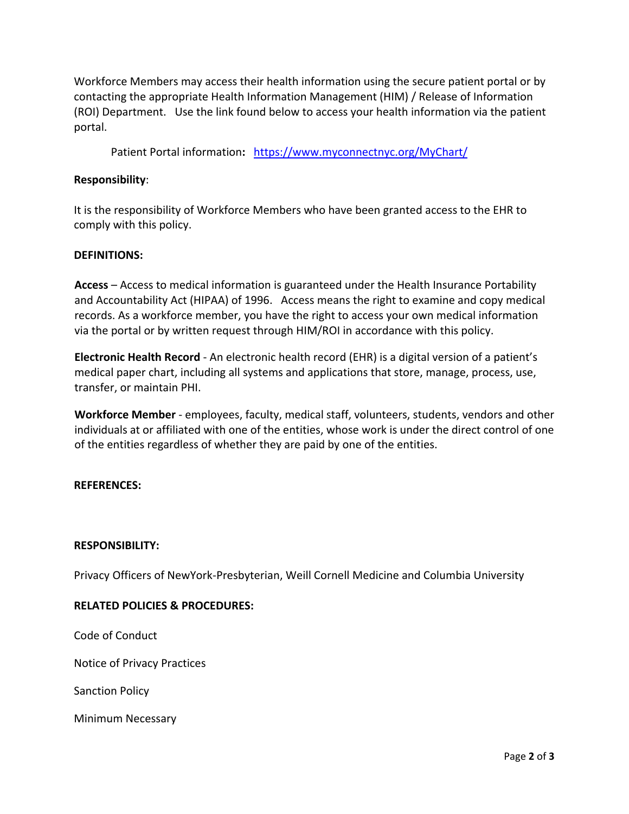Workforce Members may access their health information using the secure patient portal or by contacting the appropriate Health Information Management (HIM) / Release of Information (ROI) Department. Use the link found below to access your health information via the patient portal.

Patient Portal information**:** <https://www.myconnectnyc.org/MyChart/>

## **Responsibility**:

It is the responsibility of Workforce Members who have been granted access to the EHR to comply with this policy.

### **DEFINITIONS:**

**Access** – Access to medical information is guaranteed under the Health Insurance Portability and Accountability Act [\(HIPAA\)](http://www.medicalrecords.com/physicians/hipaa-and-medical-records) of 1996. Access means the right to examine and copy medical records. As a workforce member, you have the right to access your own medical information via the portal or by written request through HIM/ROI in accordance with this policy.

**Electronic Health Record** - An electronic health record (EHR) is a digital version of a patient's medical paper chart, including all systems and applications that store, manage, process, use, transfer, or maintain PHI.

**Workforce Member** - employees, faculty, medical staff, volunteers, students, vendors and other individuals at or affiliated with one of the entities, whose work is under the direct control of one of the entities regardless of whether they are paid by one of the entities.

### **REFERENCES:**

### **RESPONSIBILITY:**

Privacy Officers of NewYork-Presbyterian, Weill Cornell Medicine and Columbia University

### **RELATED POLICIES & PROCEDURES:**

Code of Conduct

Notice of Privacy Practices

Sanction Policy

Minimum Necessary